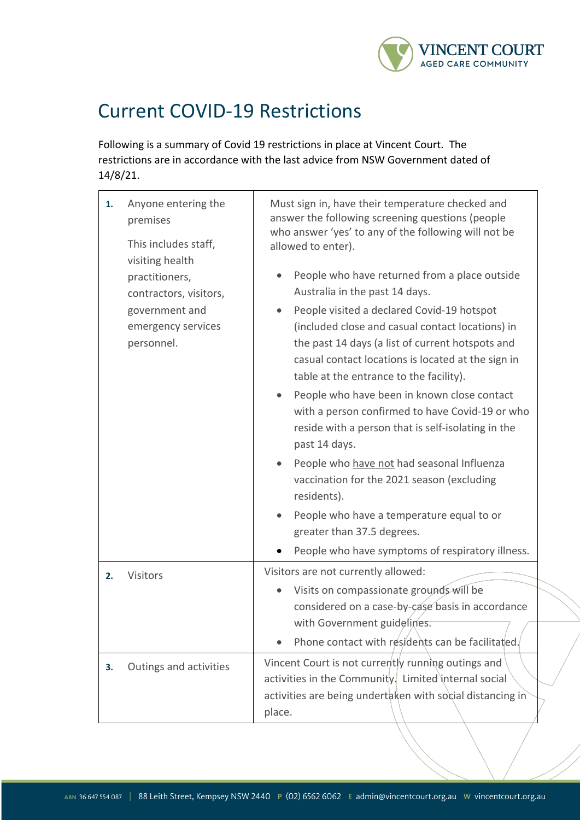

## Current COVID-19 Restrictions

Following is a summary of Covid 19 restrictions in place at Vincent Court. The restrictions are in accordance with the last advice from NSW Government dated of 14/8/21.

| 1. | Anyone entering the<br>premises<br>This includes staff,<br>visiting health<br>practitioners,<br>contractors, visitors, | Must sign in, have their temperature checked and<br>answer the following screening questions (people<br>who answer 'yes' to any of the following will not be<br>allowed to enter).<br>People who have returned from a place outside<br>Australia in the past 14 days. |
|----|------------------------------------------------------------------------------------------------------------------------|-----------------------------------------------------------------------------------------------------------------------------------------------------------------------------------------------------------------------------------------------------------------------|
|    | government and<br>emergency services<br>personnel.                                                                     | People visited a declared Covid-19 hotspot<br>(included close and casual contact locations) in<br>the past 14 days (a list of current hotspots and<br>casual contact locations is located at the sign in<br>table at the entrance to the facility).                   |
|    |                                                                                                                        | People who have been in known close contact<br>with a person confirmed to have Covid-19 or who<br>reside with a person that is self-isolating in the<br>past 14 days.                                                                                                 |
|    |                                                                                                                        | People who have not had seasonal Influenza<br>vaccination for the 2021 season (excluding<br>residents).                                                                                                                                                               |
|    |                                                                                                                        | People who have a temperature equal to or<br>greater than 37.5 degrees.                                                                                                                                                                                               |
|    |                                                                                                                        | People who have symptoms of respiratory illness.                                                                                                                                                                                                                      |
| 2. | Visitors                                                                                                               | Visitors are not currently allowed:                                                                                                                                                                                                                                   |
|    |                                                                                                                        | Visits on compassionate grounds will be<br>considered on a case-by-case basis in accordance<br>with Government guidelines.                                                                                                                                            |
|    |                                                                                                                        | Phone contact with residents can be facilitated.                                                                                                                                                                                                                      |
| 3. | Outings and activities                                                                                                 | Vincent Court is not currently running outings and<br>activities in the Community. Limited internal social<br>activities are being undertaken with social distancing in<br>place.                                                                                     |